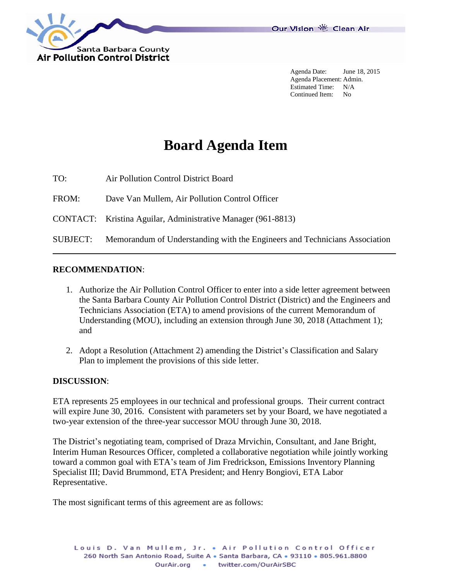

Agenda Date: June 18, 2015 Agenda Placement: Admin. Estimated Time: N/A Continued Item: No

# **Board Agenda Item**

TO: Air Pollution Control District Board

FROM: Dave Van Mullem, Air Pollution Control Officer

CONTACT: Kristina Aguilar, Administrative Manager (961-8813)

SUBJECT: Memorandum of Understanding with the Engineers and Technicians Association

#### **RECOMMENDATION**:

- 1. Authorize the Air Pollution Control Officer to enter into a side letter agreement between the Santa Barbara County Air Pollution Control District (District) and the Engineers and Technicians Association (ETA) to amend provisions of the current Memorandum of Understanding (MOU), including an extension through June 30, 2018 (Attachment 1); and
- 2. Adopt a Resolution (Attachment 2) amending the District's Classification and Salary Plan to implement the provisions of this side letter.

#### **DISCUSSION**:

ETA represents 25 employees in our technical and professional groups. Their current contract will expire June 30, 2016. Consistent with parameters set by your Board, we have negotiated a two-year extension of the three-year successor MOU through June 30, 2018.

The District's negotiating team, comprised of Draza Mrvichin, Consultant, and Jane Bright, Interim Human Resources Officer, completed a collaborative negotiation while jointly working toward a common goal with ETA's team of Jim Fredrickson, Emissions Inventory Planning Specialist III; David Brummond, ETA President; and Henry Bongiovi, ETA Labor Representative.

The most significant terms of this agreement are as follows: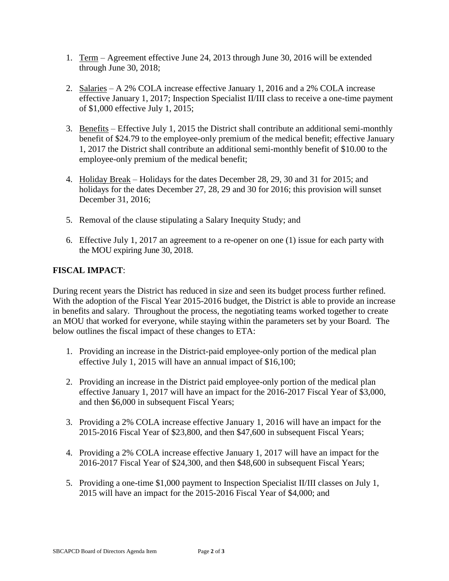- 1. Term Agreement effective June 24, 2013 through June 30, 2016 will be extended through June 30, 2018;
- 2. Salaries A 2% COLA increase effective January 1, 2016 and a 2% COLA increase effective January 1, 2017; Inspection Specialist II/III class to receive a one-time payment of \$1,000 effective July 1, 2015;
- 3. Benefits Effective July 1, 2015 the District shall contribute an additional semi-monthly benefit of \$24.79 to the employee-only premium of the medical benefit; effective January 1, 2017 the District shall contribute an additional semi-monthly benefit of \$10.00 to the employee-only premium of the medical benefit;
- 4. Holiday Break Holidays for the dates December 28, 29, 30 and 31 for 2015; and holidays for the dates December 27, 28, 29 and 30 for 2016; this provision will sunset December 31, 2016;
- 5. Removal of the clause stipulating a Salary Inequity Study; and
- 6. Effective July 1, 2017 an agreement to a re-opener on one (1) issue for each party with the MOU expiring June 30, 2018.

### **FISCAL IMPACT**:

During recent years the District has reduced in size and seen its budget process further refined. With the adoption of the Fiscal Year 2015-2016 budget, the District is able to provide an increase in benefits and salary. Throughout the process, the negotiating teams worked together to create an MOU that worked for everyone, while staying within the parameters set by your Board. The below outlines the fiscal impact of these changes to ETA:

- 1. Providing an increase in the District-paid employee-only portion of the medical plan effective July 1, 2015 will have an annual impact of \$16,100;
- 2. Providing an increase in the District paid employee-only portion of the medical plan effective January 1, 2017 will have an impact for the 2016-2017 Fiscal Year of \$3,000, and then \$6,000 in subsequent Fiscal Years;
- 3. Providing a 2% COLA increase effective January 1, 2016 will have an impact for the 2015-2016 Fiscal Year of \$23,800, and then \$47,600 in subsequent Fiscal Years;
- 4. Providing a 2% COLA increase effective January 1, 2017 will have an impact for the 2016-2017 Fiscal Year of \$24,300, and then \$48,600 in subsequent Fiscal Years;
- 5. Providing a one-time \$1,000 payment to Inspection Specialist II/III classes on July 1, 2015 will have an impact for the 2015-2016 Fiscal Year of \$4,000; and